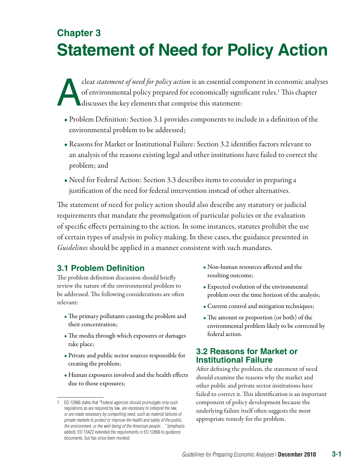## **Chapter 3 Statement of Need for Policy Action**

Clear *statement of need for policy action* is an essential component in economic analyses of environmental policy prepared for economically significant rules.<sup>1</sup> This chapter discusses the key elements that comprise this of environmental policy prepared for economically significant rules.<sup>1</sup> This chapter discusses the key elements that comprise this statement:

- Problem Definition: Section 3.1 provides components to include in a definition of the environmental problem to be addressed;
- Reasons for Market or Institutional Failure: Section 3.2 identifies factors relevant to an analysis of the reasons existing legal and other institutions have failed to correct the problem; and
- Need for Federal Action: Section 3.3 describes items to consider in preparing a justification of the need for federal intervention instead of other alternatives.

The statement of need for policy action should also describe any statutory or judicial requirements that mandate the promulgation of particular policies or the evaluation of specific effects pertaining to the action. In some instances, statutes prohibit the use of certain types of analysis in policy making. In these cases, the guidance presented in *Guidelines* should be applied in a manner consistent with such mandates.

## **3.1 Problem Definition**

The problem definition discussion should briefly review the nature of the environmental problem to be addressed. The following considerations are often relevant:

- The primary pollutants causing the problem and their concentration;
- The media through which exposures or damages take place;
- Private and public sector sources responsible for creating the problem;
- Human exposures involved and the health effects due to those exposures;
- Non-human resources affected and the resulting outcome;
- Expected evolution of the environmental problem over the time horizon of the analysis;
- Current control and mitigation techniques;
- The amount or proportion (or both) of the environmental problem likely to be corrected by federal action.

## **3.2 Reasons for Market or Institutional Failure**

After defining the problem, the statement of need should examine the reasons why the market and other public and private sector institutions have failed to correct it. This identification is an important component of policy development because the underlying failure itself often suggests the most appropriate remedy for the problem.

<sup>1</sup> EO 12866 states that "Federal agencies should promulgate only such regulations as are required by law, *are necessary to interpret the law, or are made necessary by compelling need, such as material failures of private markets to protect or improve the health and safety of the public, the environment, or the well-being of the American people…"* (emphasis added). EO 13422 extended the requirements in EO 12866 to guidance documents, but has since been revoked.